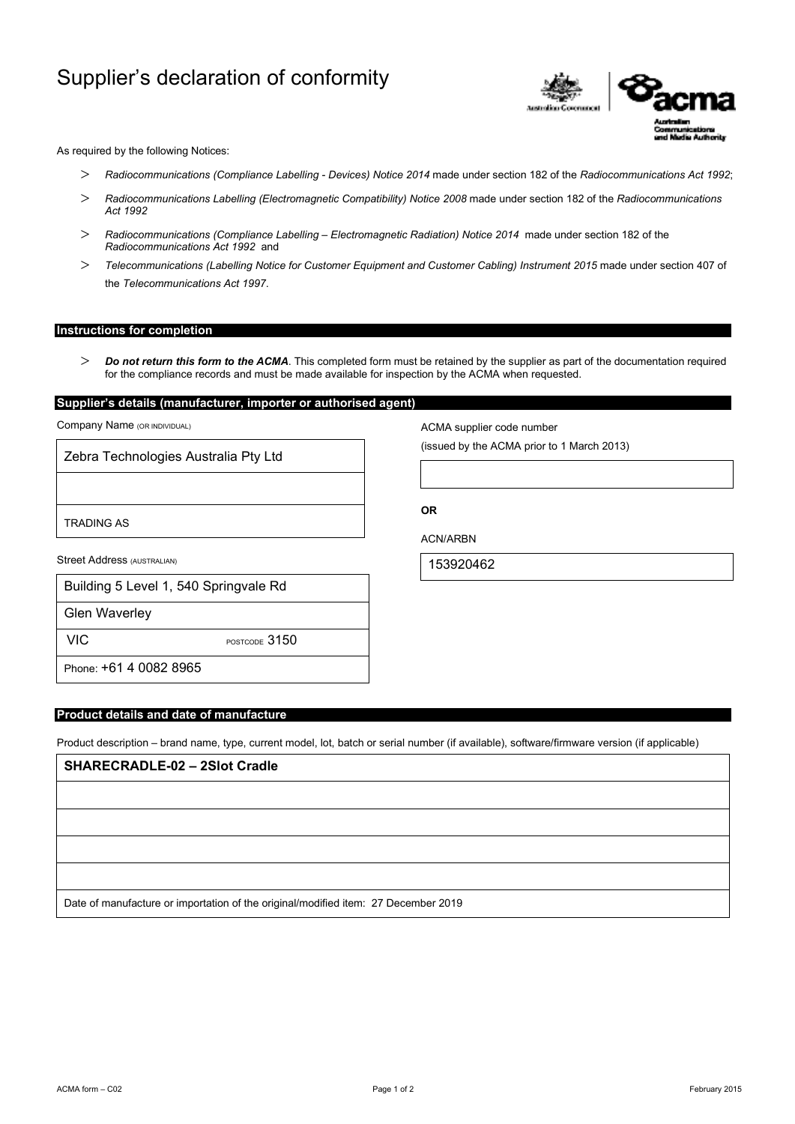# Supplier's declaration of conformity



As required by the following Notices:

- *Radiocommunications (Compliance Labelling Devices) Notice 2014* made under section 182 of the *Radiocommunications Act 1992*;
- *Radiocommunications Labelling (Electromagnetic Compatibility) Notice 2008* made under section 182 of the *Radiocommunications Act 1992*
- *Radiocommunications (Compliance Labelling Electromagnetic Radiation) Notice 2014* made under section 182 of the *Radiocommunications Act 1992* and
- *Telecommunications (Labelling Notice for Customer Equipment and Customer Cabling) Instrument 2015* made under section 407 of the *Telecommunications Act 1997*.

# **Instructions for completion**

 *Do not return this form to the ACMA*. This completed form must be retained by the supplier as part of the documentation required for the compliance records and must be made available for inspection by the ACMA when requested.

# **Supplier's details (manufacturer, importer or authorised agent)**

Company Name (OR INDIVIDUAL)

Zebra Technologies Australia Pty Ltd

TRADING AS

Street Address (AUSTRALIAN)

| Building 5 Level 1, 540 Springvale Rd |  |
|---------------------------------------|--|
|---------------------------------------|--|

Glen Waverley

VIC POSTCODE 3150

Phone: +61 4 0082 8965

#### **Product details and date of manufacture**

Product description – brand name, type, current model, lot, batch or serial number (if available), software/firmware version (if applicable)

# **SHARECRADLE-02 – 2Slot Cradle**

Date of manufacture or importation of the original/modified item: 27 December 2019

ACMA supplier code number

(issued by the ACMA prior to 1 March 2013)

ACN/ARBN

**OR** 

153920462